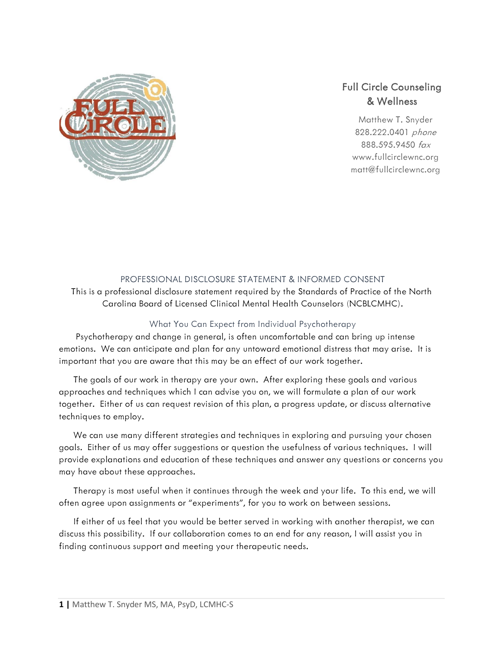

Matthew T. Snyder 828.222.0401 phone 888.595.9450 fax www.fullcirclewnc.org matt@fullcirclewnc.org



#### PROFESSIONAL DISCLOSURE STATEMENT & INFORMED CONSENT

This is a professional disclosure statement required by the Standards of Practice of the North Carolina Board of Licensed Clinical Mental Health Counselors (NCBLCMHC).

## What You Can Expect from Individual Psychotherapy

 Psychotherapy and change in general, is often uncomfortable and can bring up intense emotions. We can anticipate and plan for any untoward emotional distress that may arise. It is important that you are aware that this may be an effect of our work together.

 The goals of our work in therapy are your own. After exploring these goals and various approaches and techniques which I can advise you on, we will formulate a plan of our work together. Either of us can request revision of this plan, a progress update, or discuss alternative techniques to employ.

 We can use many different strategies and techniques in exploring and pursuing your chosen goals. Either of us may offer suggestions or question the usefulness of various techniques. I will provide explanations and education of these techniques and answer any questions or concerns you may have about these approaches.

 Therapy is most useful when it continues through the week and your life. To this end, we will often agree upon assignments or "experiments", for you to work on between sessions.

 If either of us feel that you would be better served in working with another therapist, we can discuss this possibility. If our collaboration comes to an end for any reason, I will assist you in finding continuous support and meeting your therapeutic needs.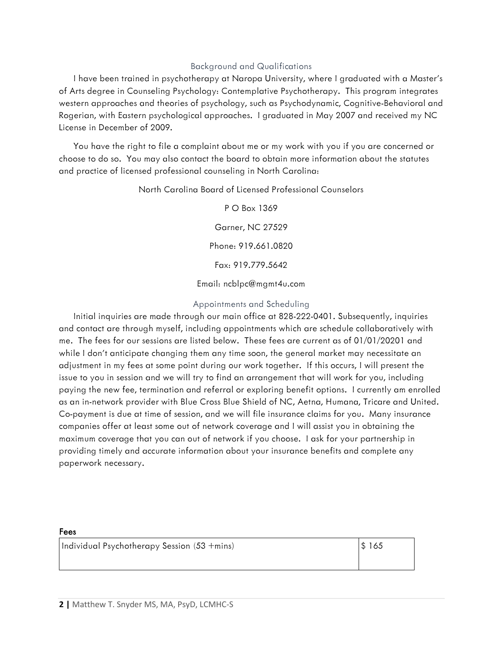#### Background and Qualifications

 I have been trained in psychotherapy at Naropa University, where I graduated with a Master's of Arts degree in Counseling Psychology: Contemplative Psychotherapy. This program integrates western approaches and theories of psychology, such as Psychodynamic, Cognitive-Behavioral and Rogerian, with Eastern psychological approaches. I graduated in May 2007 and received my NC License in December of 2009.

 You have the right to file a complaint about me or my work with you if you are concerned or choose to do so. You may also contact the board to obtain more information about the statutes and practice of licensed professional counseling in North Carolina:

North Carolina Board of Licensed Professional Counselors

P O Box 1369 Garner, NC 27529 Phone: 919.661.0820 Fax: 919.779.5642

Email: ncblpc@mgmt4u.com

#### Appointments and Scheduling

 Initial inquiries are made through our main office at 828-222-0401. Subsequently, inquiries and contact are through myself, including appointments which are schedule collaboratively with me. The fees for our sessions are listed below. These fees are current as of 01/01/20201 and while I don't anticipate changing them any time soon, the general market may necessitate an adjustment in my fees at some point during our work together. If this occurs, I will present the issue to you in session and we will try to find an arrangement that will work for you, including paying the new fee, termination and referral or exploring benefit options. I currently am enrolled as an in-network provider with Blue Cross Blue Shield of NC, Aetna, Humana, Tricare and United. Co-payment is due at time of session, and we will file insurance claims for you. Many insurance companies offer at least some out of network coverage and I will assist you in obtaining the maximum coverage that you can out of network if you choose. I ask for your partnership in providing timely and accurate information about your insurance benefits and complete any paperwork necessary.

#### Fees

Individual Psychotherapy Session (53 +mins)  $\frac{1}{165}$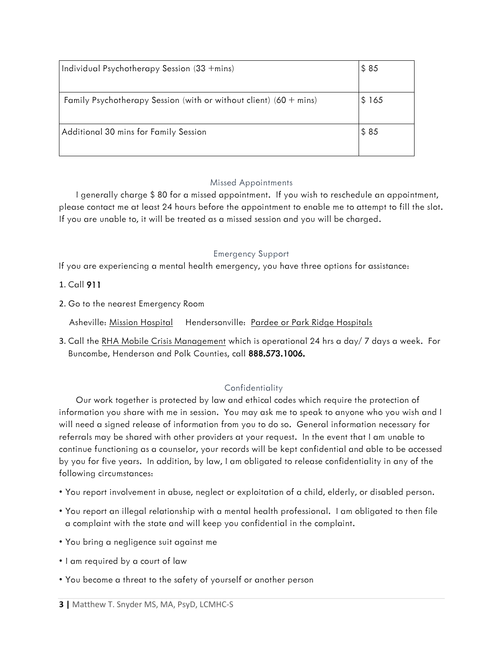| Individual Psychotherapy Session (33 + mins)                        | \$85  |
|---------------------------------------------------------------------|-------|
|                                                                     |       |
| Family Psychotherapy Session (with or without client) $(60 + mins)$ | \$165 |
| Additional 30 mins for Family Session                               | \$85  |

# Missed Appointments

 I generally charge \$ 80 for a missed appointment. If you wish to reschedule an appointment, please contact me at least 24 hours before the appointment to enable me to attempt to fill the slot. If you are unable to, it will be treated as a missed session and you will be charged.

# Emergency Support

If you are experiencing a mental health emergency, you have three options for assistance:

# 1. Call 911

2. Go to the nearest Emergency Room

Asheville: Mission Hospital Hendersonville: Pardee or Park Ridge Hospitals

3. Call the RHA Mobile Crisis Management which is operational 24 hrs a day/ 7 days a week. For Buncombe, Henderson and Polk Counties, call 888.573.1006.

# **Confidentiality**

 Our work together is protected by law and ethical codes which require the protection of information you share with me in session. You may ask me to speak to anyone who you wish and I will need a signed release of information from you to do so. General information necessary for referrals may be shared with other providers at your request. In the event that I am unable to continue functioning as a counselor, your records will be kept confidential and able to be accessed by you for five years. In addition, by law, I am obligated to release confidentiality in any of the following circumstances:

- You report involvement in abuse, neglect or exploitation of a child, elderly, or disabled person.
- You report an illegal relationship with a mental health professional. I am obligated to then file a complaint with the state and will keep you confidential in the complaint.
- You bring a negligence suit against me
- I am required by a court of law
- You become a threat to the safety of yourself or another person